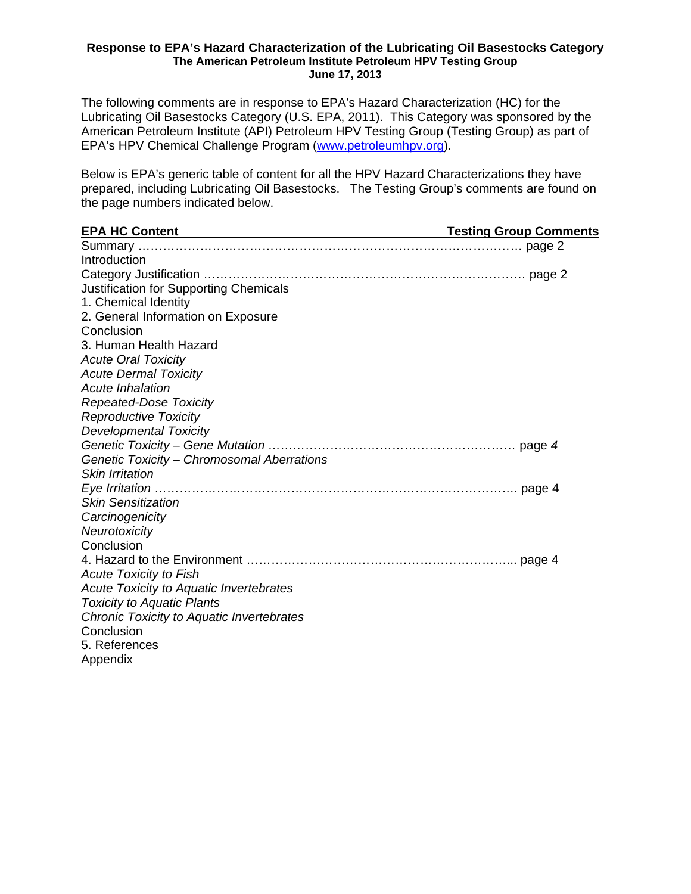#### **Response to EPA's Hazard Characterization of the Lubricating Oil Basestocks Category The American Petroleum Institute Petroleum HPV Testing Group June 17, 2013**

The following comments are in response to EPA's Hazard Characterization (HC) for the Lubricating Oil Basestocks Category (U.S. EPA, 2011). This Category was sponsored by the American Petroleum Institute (API) Petroleum HPV Testing Group (Testing Group) as part of EPA's HPV Chemical Challenge Program (www.petroleumhpv.org).

Below is EPA's generic table of content for all the HPV Hazard Characterizations they have prepared, including Lubricating Oil Basestocks. The Testing Group's comments are found on the page numbers indicated below.

| <b>EPA HC Content</b><br><b>Testing Group Comments Testing Group Comments</b> |  |
|-------------------------------------------------------------------------------|--|
|                                                                               |  |
| Introduction                                                                  |  |
|                                                                               |  |
| Justification for Supporting Chemicals                                        |  |
| 1. Chemical Identity                                                          |  |
| 2. General Information on Exposure                                            |  |
| Conclusion                                                                    |  |
| 3. Human Health Hazard                                                        |  |
| <b>Acute Oral Toxicity</b>                                                    |  |
| <b>Acute Dermal Toxicity</b>                                                  |  |
| <b>Acute Inhalation</b>                                                       |  |
| <b>Repeated-Dose Toxicity</b>                                                 |  |
| <b>Reproductive Toxicity</b>                                                  |  |
| <b>Developmental Toxicity</b>                                                 |  |
|                                                                               |  |
| Genetic Toxicity - Chromosomal Aberrations                                    |  |
| <b>Skin Irritation</b>                                                        |  |
|                                                                               |  |
| <b>Skin Sensitization</b>                                                     |  |
| Carcinogenicity                                                               |  |
| Neurotoxicity                                                                 |  |
| Conclusion                                                                    |  |
|                                                                               |  |
| <b>Acute Toxicity to Fish</b>                                                 |  |
| <b>Acute Toxicity to Aquatic Invertebrates</b>                                |  |
| <b>Toxicity to Aquatic Plants</b>                                             |  |
| Chronic Toxicity to Aquatic Invertebrates                                     |  |
| Conclusion                                                                    |  |
| 5. References                                                                 |  |
| Appendix                                                                      |  |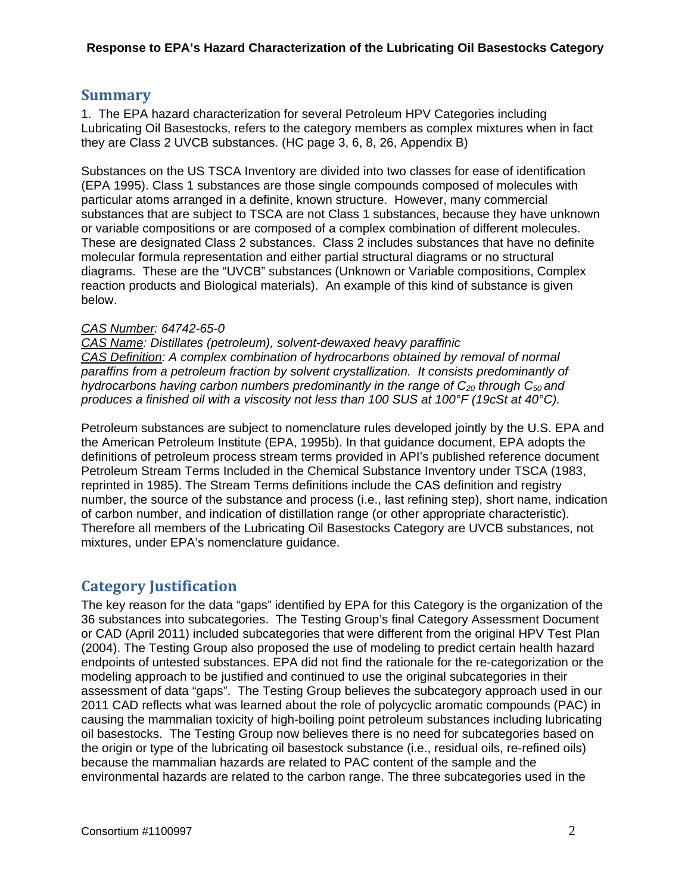## **Summary**

1. The EPA hazard characterization for several Petroleum HPV Categories including Lubricating Oil Basestocks, refers to the category members as complex mixtures when in fact they are Class 2 UVCB substances. (HC page 3, 6, 8, 26, Appendix B)

Substances on the US TSCA Inventory are divided into two classes for ease of identification (EPA 1995). Class 1 substances are those single compounds composed of molecules with particular atoms arranged in a definite, known structure. However, many commercial substances that are subject to TSCA are not Class 1 substances, because they have unknown or variable compositions or are composed of a complex combination of different molecules. These are designated Class 2 substances. Class 2 includes substances that have no definite molecular formula representation and either partial structural diagrams or no structural diagrams. These are the "UVCB" substances (Unknown or Variable compositions, Complex reaction products and Biological materials). An example of this kind of substance is given below.

### *CAS Number: 64742-65-0*

*CAS Name: Distillates (petroleum), solvent-dewaxed heavy paraffinic CAS Definition: A complex combination of hydrocarbons obtained by removal of normal paraffins from a petroleum fraction by solvent crystallization. It consists predominantly of hydrocarbons having carbon numbers predominantly in the range of C<sub>20</sub> through C<sub>50</sub> and produces a finished oil with a viscosity not less than 100 SUS at 100°F (19cSt at 40°C).* 

Petroleum substances are subject to nomenclature rules developed jointly by the U.S. EPA and the American Petroleum Institute (EPA, 1995b). In that guidance document, EPA adopts the definitions of petroleum process stream terms provided in API's published reference document Petroleum Stream Terms Included in the Chemical Substance Inventory under TSCA (1983, reprinted in 1985). The Stream Terms definitions include the CAS definition and registry number, the source of the substance and process (i.e., last refining step), short name, indication of carbon number, and indication of distillation range (or other appropriate characteristic). Therefore all members of the Lubricating Oil Basestocks Category are UVCB substances, not mixtures, under EPA's nomenclature guidance.

# **Category Justification**

The key reason for the data "gaps" identified by EPA for this Category is the organization of the 36 substances into subcategories. The Testing Group's final Category Assessment Document or CAD (April 2011) included subcategories that were different from the original HPV Test Plan (2004). The Testing Group also proposed the use of modeling to predict certain health hazard endpoints of untested substances. EPA did not find the rationale for the re-categorization or the modeling approach to be justified and continued to use the original subcategories in their assessment of data "gaps". The Testing Group believes the subcategory approach used in our 2011 CAD reflects what was learned about the role of polycyclic aromatic compounds (PAC) in causing the mammalian toxicity of high-boiling point petroleum substances including lubricating oil basestocks. The Testing Group now believes there is no need for subcategories based on the origin or type of the lubricating oil basestock substance (i.e., residual oils, re-refined oils) because the mammalian hazards are related to PAC content of the sample and the environmental hazards are related to the carbon range. The three subcategories used in the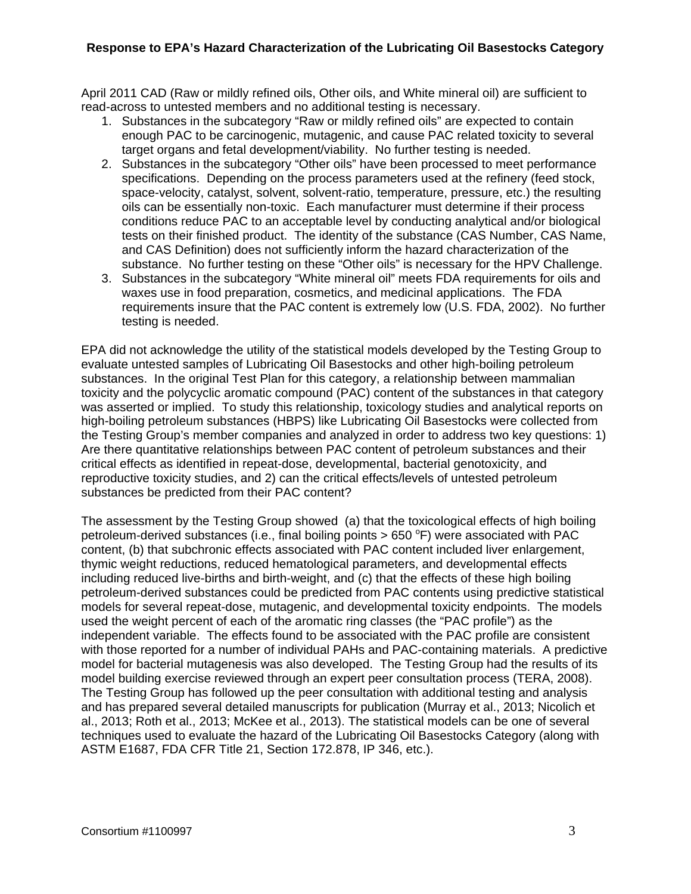April 2011 CAD (Raw or mildly refined oils, Other oils, and White mineral oil) are sufficient to read-across to untested members and no additional testing is necessary.

- 1. Substances in the subcategory "Raw or mildly refined oils" are expected to contain enough PAC to be carcinogenic, mutagenic, and cause PAC related toxicity to several target organs and fetal development/viability. No further testing is needed.
- 2. Substances in the subcategory "Other oils" have been processed to meet performance specifications. Depending on the process parameters used at the refinery (feed stock, space-velocity, catalyst, solvent, solvent-ratio, temperature, pressure, etc.) the resulting oils can be essentially non-toxic. Each manufacturer must determine if their process conditions reduce PAC to an acceptable level by conducting analytical and/or biological tests on their finished product. The identity of the substance (CAS Number, CAS Name, and CAS Definition) does not sufficiently inform the hazard characterization of the substance. No further testing on these "Other oils" is necessary for the HPV Challenge.
- 3. Substances in the subcategory "White mineral oil" meets FDA requirements for oils and waxes use in food preparation, cosmetics, and medicinal applications. The FDA requirements insure that the PAC content is extremely low (U.S. FDA, 2002). No further testing is needed.

EPA did not acknowledge the utility of the statistical models developed by the Testing Group to evaluate untested samples of Lubricating Oil Basestocks and other high-boiling petroleum substances. In the original Test Plan for this category, a relationship between mammalian toxicity and the polycyclic aromatic compound (PAC) content of the substances in that category was asserted or implied. To study this relationship, toxicology studies and analytical reports on high-boiling petroleum substances (HBPS) like Lubricating Oil Basestocks were collected from the Testing Group's member companies and analyzed in order to address two key questions: 1) Are there quantitative relationships between PAC content of petroleum substances and their critical effects as identified in repeat-dose, developmental, bacterial genotoxicity, and reproductive toxicity studies, and 2) can the critical effects/levels of untested petroleum substances be predicted from their PAC content?

The assessment by the Testing Group showed (a) that the toxicological effects of high boiling petroleum-derived substances (i.e., final boiling points > 650  $\degree$ F) were associated with PAC content, (b) that subchronic effects associated with PAC content included liver enlargement, thymic weight reductions, reduced hematological parameters, and developmental effects including reduced live-births and birth-weight, and (c) that the effects of these high boiling petroleum-derived substances could be predicted from PAC contents using predictive statistical models for several repeat-dose, mutagenic, and developmental toxicity endpoints. The models used the weight percent of each of the aromatic ring classes (the "PAC profile") as the independent variable. The effects found to be associated with the PAC profile are consistent with those reported for a number of individual PAHs and PAC-containing materials. A predictive model for bacterial mutagenesis was also developed. The Testing Group had the results of its model building exercise reviewed through an expert peer consultation process (TERA, 2008). The Testing Group has followed up the peer consultation with additional testing and analysis and has prepared several detailed manuscripts for publication (Murray et al., 2013; Nicolich et al., 2013; Roth et al., 2013; McKee et al., 2013). The statistical models can be one of several techniques used to evaluate the hazard of the Lubricating Oil Basestocks Category (along with ASTM E1687, FDA CFR Title 21, Section 172.878, IP 346, etc.).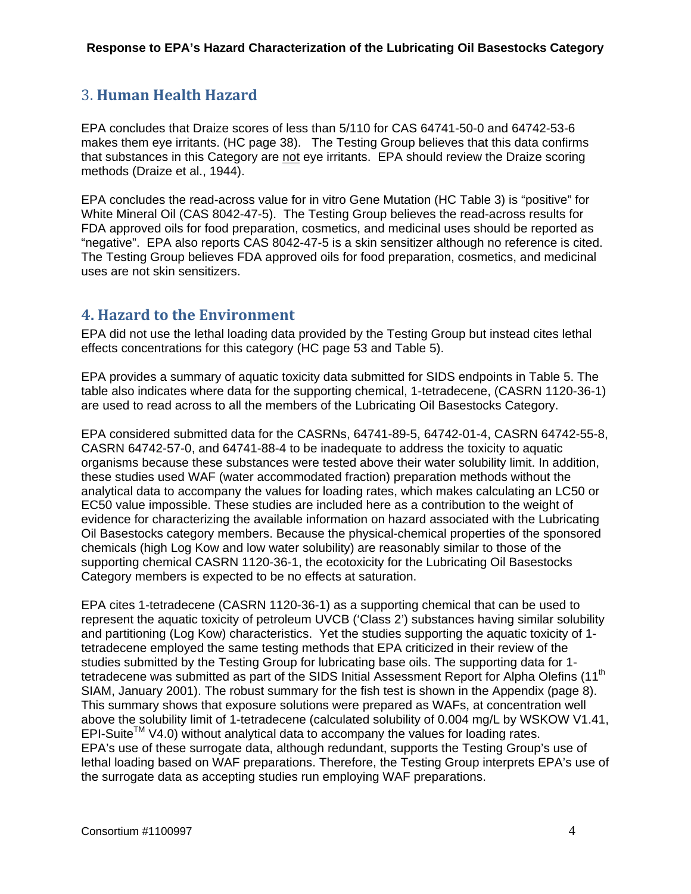## 3. **Human Health Hazard**

EPA concludes that Draize scores of less than 5/110 for CAS 64741-50-0 and 64742-53-6 makes them eye irritants. (HC page 38). The Testing Group believes that this data confirms that substances in this Category are not eye irritants. EPA should review the Draize scoring methods (Draize et al., 1944).

EPA concludes the read-across value for in vitro Gene Mutation (HC Table 3) is "positive" for White Mineral Oil (CAS 8042-47-5). The Testing Group believes the read-across results for FDA approved oils for food preparation, cosmetics, and medicinal uses should be reported as "negative". EPA also reports CAS 8042-47-5 is a skin sensitizer although no reference is cited. The Testing Group believes FDA approved oils for food preparation, cosmetics, and medicinal uses are not skin sensitizers.

## **4. Hazard to the Environment**

EPA did not use the lethal loading data provided by the Testing Group but instead cites lethal effects concentrations for this category (HC page 53 and Table 5).

EPA provides a summary of aquatic toxicity data submitted for SIDS endpoints in Table 5. The table also indicates where data for the supporting chemical, 1-tetradecene, (CASRN 1120-36-1) are used to read across to all the members of the Lubricating Oil Basestocks Category.

EPA considered submitted data for the CASRNs, 64741-89-5, 64742-01-4, CASRN 64742-55-8, CASRN 64742-57-0, and 64741-88-4 to be inadequate to address the toxicity to aquatic organisms because these substances were tested above their water solubility limit. In addition, these studies used WAF (water accommodated fraction) preparation methods without the analytical data to accompany the values for loading rates, which makes calculating an LC50 or EC50 value impossible. These studies are included here as a contribution to the weight of evidence for characterizing the available information on hazard associated with the Lubricating Oil Basestocks category members. Because the physical-chemical properties of the sponsored chemicals (high Log Kow and low water solubility) are reasonably similar to those of the supporting chemical CASRN 1120-36-1, the ecotoxicity for the Lubricating Oil Basestocks Category members is expected to be no effects at saturation.

EPA cites 1-tetradecene (CASRN 1120-36-1) as a supporting chemical that can be used to represent the aquatic toxicity of petroleum UVCB ('Class 2') substances having similar solubility and partitioning (Log Kow) characteristics. Yet the studies supporting the aquatic toxicity of 1 tetradecene employed the same testing methods that EPA criticized in their review of the studies submitted by the Testing Group for lubricating base oils. The supporting data for 1 tetradecene was submitted as part of the SIDS Initial Assessment Report for Alpha Olefins (11<sup>th</sup>) SIAM, January 2001). The robust summary for the fish test is shown in the Appendix (page 8). This summary shows that exposure solutions were prepared as WAFs, at concentration well above the solubility limit of 1-tetradecene (calculated solubility of 0.004 mg/L by WSKOW V1.41,  $EPI-Suite^{TM} V4.0$ ) without analytical data to accompany the values for loading rates. EPA's use of these surrogate data, although redundant, supports the Testing Group's use of lethal loading based on WAF preparations. Therefore, the Testing Group interprets EPA's use of the surrogate data as accepting studies run employing WAF preparations.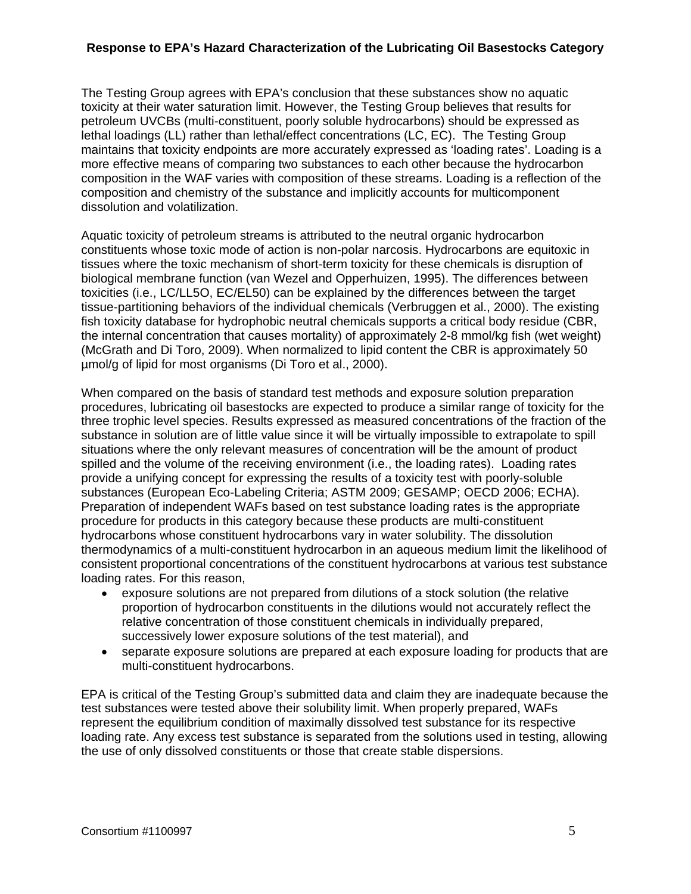The Testing Group agrees with EPA's conclusion that these substances show no aquatic toxicity at their water saturation limit. However, the Testing Group believes that results for petroleum UVCBs (multi-constituent, poorly soluble hydrocarbons) should be expressed as lethal loadings (LL) rather than lethal/effect concentrations (LC, EC). The Testing Group maintains that toxicity endpoints are more accurately expressed as 'loading rates'. Loading is a more effective means of comparing two substances to each other because the hydrocarbon composition in the WAF varies with composition of these streams. Loading is a reflection of the composition and chemistry of the substance and implicitly accounts for multicomponent dissolution and volatilization.

Aquatic toxicity of petroleum streams is attributed to the neutral organic hydrocarbon constituents whose toxic mode of action is non-polar narcosis. Hydrocarbons are equitoxic in tissues where the toxic mechanism of short-term toxicity for these chemicals is disruption of biological membrane function (van Wezel and Opperhuizen, 1995). The differences between toxicities (i.e., LC/LL5O, EC/EL50) can be explained by the differences between the target tissue-partitioning behaviors of the individual chemicals (Verbruggen et al., 2000). The existing fish toxicity database for hydrophobic neutral chemicals supports a critical body residue (CBR, the internal concentration that causes mortality) of approximately 2-8 mmol/kg fish (wet weight) (McGrath and Di Toro, 2009). When normalized to lipid content the CBR is approximately 50 µmol/g of lipid for most organisms (Di Toro et al., 2000).

When compared on the basis of standard test methods and exposure solution preparation procedures, lubricating oil basestocks are expected to produce a similar range of toxicity for the three trophic level species. Results expressed as measured concentrations of the fraction of the substance in solution are of little value since it will be virtually impossible to extrapolate to spill situations where the only relevant measures of concentration will be the amount of product spilled and the volume of the receiving environment (i.e., the loading rates). Loading rates provide a unifying concept for expressing the results of a toxicity test with poorly-soluble substances (European Eco-Labeling Criteria; ASTM 2009; GESAMP; OECD 2006; ECHA). Preparation of independent WAFs based on test substance loading rates is the appropriate procedure for products in this category because these products are multi-constituent hydrocarbons whose constituent hydrocarbons vary in water solubility. The dissolution thermodynamics of a multi-constituent hydrocarbon in an aqueous medium limit the likelihood of consistent proportional concentrations of the constituent hydrocarbons at various test substance loading rates. For this reason,

- exposure solutions are not prepared from dilutions of a stock solution (the relative proportion of hydrocarbon constituents in the dilutions would not accurately reflect the relative concentration of those constituent chemicals in individually prepared, successively lower exposure solutions of the test material), and
- separate exposure solutions are prepared at each exposure loading for products that are multi-constituent hydrocarbons.

EPA is critical of the Testing Group's submitted data and claim they are inadequate because the test substances were tested above their solubility limit. When properly prepared, WAFs represent the equilibrium condition of maximally dissolved test substance for its respective loading rate. Any excess test substance is separated from the solutions used in testing, allowing the use of only dissolved constituents or those that create stable dispersions.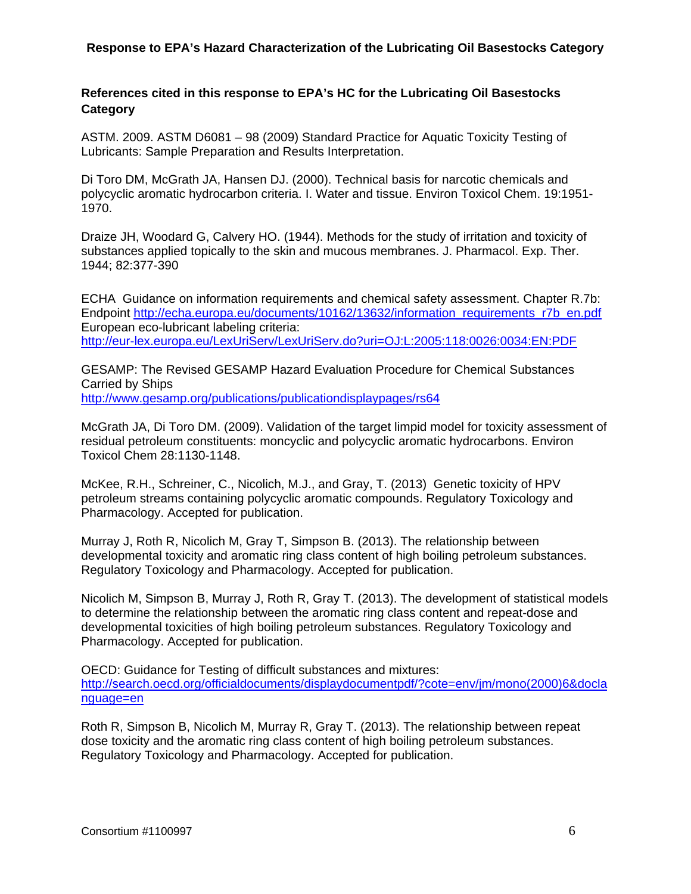### **References cited in this response to EPA's HC for the Lubricating Oil Basestocks Category**

ASTM. 2009. ASTM D6081 – 98 (2009) Standard Practice for Aquatic Toxicity Testing of Lubricants: Sample Preparation and Results Interpretation.

Di Toro DM, McGrath JA, Hansen DJ. (2000). Technical basis for narcotic chemicals and polycyclic aromatic hydrocarbon criteria. I. Water and tissue. Environ Toxicol Chem. 19:1951- 1970.

Draize JH, Woodard G, Calvery HO. (1944). Methods for the study of irritation and toxicity of substances applied topically to the skin and mucous membranes. J. Pharmacol. Exp. Ther. 1944; 82:377-390

ECHA Guidance on information requirements and chemical safety assessment. Chapter R.7b: Endpoint http://echa.europa.eu/documents/10162/13632/information\_requirements\_r7b\_en.pdf European eco-lubricant labeling criteria: http://eur-lex.europa.eu/LexUriServ/LexUriServ.do?uri=OJ:L:2005:118:0026:0034:EN:PDF

GESAMP: The Revised GESAMP Hazard Evaluation Procedure for Chemical Substances Carried by Ships

http://www.gesamp.org/publications/publicationdisplaypages/rs64

McGrath JA, Di Toro DM. (2009). Validation of the target limpid model for toxicity assessment of residual petroleum constituents: moncyclic and polycyclic aromatic hydrocarbons. Environ Toxicol Chem 28:1130-1148.

McKee, R.H., Schreiner, C., Nicolich, M.J., and Gray, T. (2013) Genetic toxicity of HPV petroleum streams containing polycyclic aromatic compounds. Regulatory Toxicology and Pharmacology. Accepted for publication.

Murray J, Roth R, Nicolich M, Gray T, Simpson B. (2013). The relationship between developmental toxicity and aromatic ring class content of high boiling petroleum substances. Regulatory Toxicology and Pharmacology. Accepted for publication.

Nicolich M, Simpson B, Murray J, Roth R, Gray T. (2013). The development of statistical models to determine the relationship between the aromatic ring class content and repeat-dose and developmental toxicities of high boiling petroleum substances. Regulatory Toxicology and Pharmacology. Accepted for publication.

OECD: Guidance for Testing of difficult substances and mixtures: http://search.oecd.org/officialdocuments/displaydocumentpdf/?cote=env/jm/mono(2000)6&docla nguage=en

Roth R, Simpson B, Nicolich M, Murray R, Gray T. (2013). The relationship between repeat dose toxicity and the aromatic ring class content of high boiling petroleum substances. Regulatory Toxicology and Pharmacology. Accepted for publication.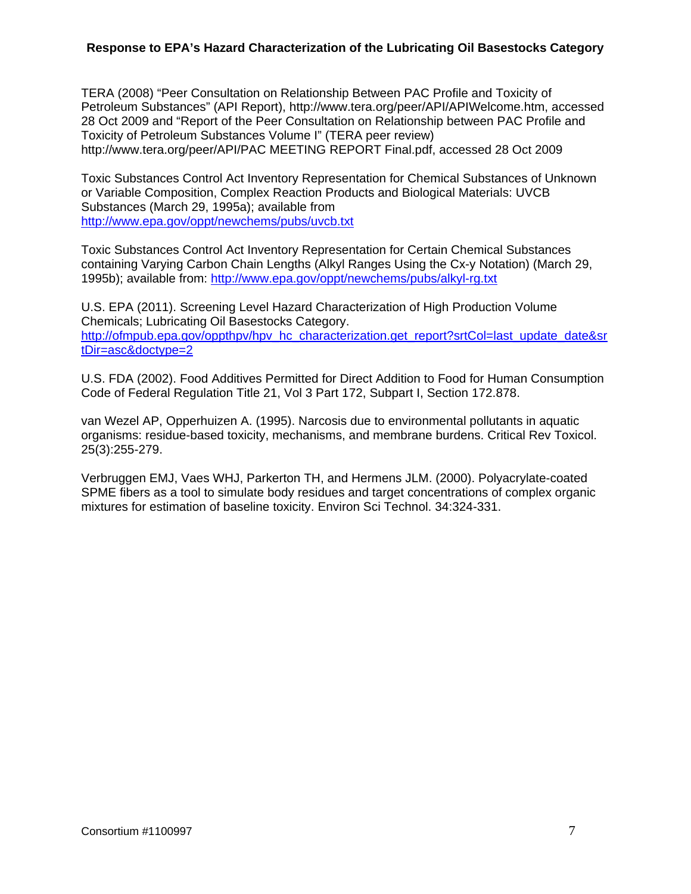TERA (2008) "Peer Consultation on Relationship Between PAC Profile and Toxicity of Petroleum Substances" (API Report), http://www.tera.org/peer/API/APIWelcome.htm, accessed 28 Oct 2009 and "Report of the Peer Consultation on Relationship between PAC Profile and Toxicity of Petroleum Substances Volume I" (TERA peer review) http://www.tera.org/peer/API/PAC MEETING REPORT Final.pdf, accessed 28 Oct 2009

Toxic Substances Control Act Inventory Representation for Chemical Substances of Unknown or Variable Composition, Complex Reaction Products and Biological Materials: UVCB Substances (March 29, 1995a); available from http://www.epa.gov/oppt/newchems/pubs/uvcb.txt

Toxic Substances Control Act Inventory Representation for Certain Chemical Substances containing Varying Carbon Chain Lengths (Alkyl Ranges Using the Cx-y Notation) (March 29, 1995b); available from: http://www.epa.gov/oppt/newchems/pubs/alkyl-rg.txt

U.S. EPA (2011). Screening Level Hazard Characterization of High Production Volume Chemicals; Lubricating Oil Basestocks Category. http://ofmpub.epa.gov/oppthpv/hpv\_hc\_characterization.get\_report?srtCol=last\_update\_date&sr tDir=asc&doctype=2

U.S. FDA (2002). Food Additives Permitted for Direct Addition to Food for Human Consumption Code of Federal Regulation Title 21, Vol 3 Part 172, Subpart I, Section 172.878.

van Wezel AP, Opperhuizen A. (1995). Narcosis due to environmental pollutants in aquatic organisms: residue-based toxicity, mechanisms, and membrane burdens. Critical Rev Toxicol. 25(3):255-279.

Verbruggen EMJ, Vaes WHJ, Parkerton TH, and Hermens JLM. (2000). Polyacrylate-coated SPME fibers as a tool to simulate body residues and target concentrations of complex organic mixtures for estimation of baseline toxicity. Environ Sci Technol. 34:324-331.